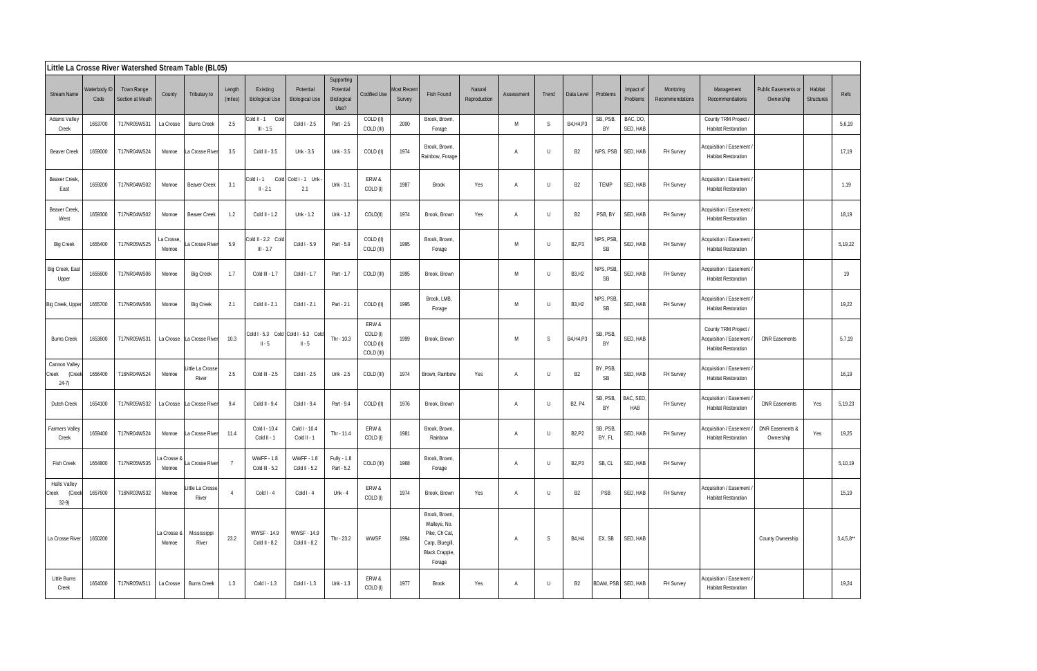| Little La Crosse River Watershed Stream Table (BL05) |                      |                                |                       |                           |                   |                                     |                                                 |                                               |                                              |                              |                                                                                               |                         |              |         |                                 |                        |                       |                              |                                                                              |                                  |                              |             |
|------------------------------------------------------|----------------------|--------------------------------|-----------------------|---------------------------|-------------------|-------------------------------------|-------------------------------------------------|-----------------------------------------------|----------------------------------------------|------------------------------|-----------------------------------------------------------------------------------------------|-------------------------|--------------|---------|---------------------------------|------------------------|-----------------------|------------------------------|------------------------------------------------------------------------------|----------------------------------|------------------------------|-------------|
| <b>Stream Name</b>                                   | Waterbody ID<br>Code | Town Range<br>Section at Mouth | County                | Tributary to              | Length<br>(miles) | Existing<br><b>Biological Use</b>   | Potential<br><b>Biological Use</b>              | Supporting<br>Potential<br>Biological<br>Use? | <b>Codified Use</b>                          | <b>Most Recent</b><br>Survey | Fish Found                                                                                    | Natural<br>Reproduction | Assessment   | Trend   | Data Level                      | Problems               | Impact of<br>Problems | Montoring<br>Recommendations | Management<br>Recommendations                                                | Public Easements or<br>Ownership | Habitat<br><b>Structures</b> | Refs        |
| Adams Valley<br>Creek                                | 1653700              | T17NR05WS31                    | La Crosse             | <b>Burns Creek</b>        | 2.5               | Cold II - 1 Cold<br>$III - 1.5$     | Cold I - 2.5                                    | Part - 2.5                                    | COLD (II)<br>COLD (III)                      | 2000                         | Brook, Brown,<br>Forage                                                                       |                         | M            | S       | B4, H4, P3                      | SB, PSB,<br>BY         | BAC, DO,<br>SED, HAB  |                              | County TRM Project /<br><b>Habitat Restoration</b>                           |                                  |                              | 5,6,19      |
| <b>Beaver Creek</b>                                  | 1659000              | T17NR04WS24                    | Monroe                | La Crosse River           | 3.5               | Cold II - 3.5                       | Unk - 3.5                                       | Unk - 3.5                                     | COLD (II)                                    | 1974                         | Brook, Brown,<br>Rainbow, Forage                                                              |                         |              | $\cup$  | B <sub>2</sub>                  | NPS, PSB               | SED, HAB              | FH Survey                    | Acquisition / Easement<br><b>Habitat Restoration</b>                         |                                  |                              | 17,19       |
| <b>Beaver Creek</b><br>East                          | 1659200              | T17NR04WS02                    | Monroe                | <b>Beaver Creek</b>       | 3.1               | Cold I - 1<br>$II - 2.1$            | Cold Cold I - 1 Unk<br>2.1                      | Unk - 3.1                                     | ERW &<br>COLD (I)                            | 1987                         | Brook                                                                                         | Yes                     | $\mathsf{A}$ | $\cup$  | B <sub>2</sub>                  | <b>TEMP</b>            | SED, HAB              | FH Survey                    | Acquisition / Easement<br><b>Habitat Restoration</b>                         |                                  |                              | 1,19        |
| <b>Beaver Creek</b><br>West                          | 1659300              | T17NR04WS02                    | Monroe                | Beaver Creek              | 1.2               | Cold II - 1.2                       | Unk - 1.2                                       | Unk - 1.2                                     | COLD(II)                                     | 1974                         | Brook, Brown                                                                                  | Yes                     | A            | $\cup$  | B <sub>2</sub>                  | PSB, BY                | SED, HAB              | FH Survey                    | Acquisition / Easement<br><b>Habitat Restoration</b>                         |                                  |                              | 18,19       |
| <b>Big Creek</b>                                     | 1655400              | T17NR05WS25                    | La Crosse<br>Monroe   | a Crosse River            | 5.9               | Cold II - 2.2 Cold<br>$III - 3.7$   | Cold I - 5.9                                    | Part - 5.9                                    | COLD (II)<br>COLD (III)                      | 1995                         | Brook, Brown,<br>Forage                                                                       |                         | M            | $\cup$  | <b>B2,P3</b>                    | NPS, PSB<br><b>SB</b>  | SED, HAB              | FH Survey                    | Acquisition / Easement<br><b>Habitat Restoration</b>                         |                                  |                              | 5,19,22     |
| Big Creek, East<br>Upper                             | 1655600              | T17NR04WS06                    | Monroe                | <b>Big Creek</b>          | 1.7               | Cold III - 1.7                      | Cold I - 1.7                                    | Part - 1.7                                    | COLD (III)                                   | 1995                         | Brook, Brown                                                                                  |                         | M            | $\sf U$ | <b>B3, H2</b>                   | NPS, PSB,<br><b>SB</b> | SED, HAB              | FH Survey                    | Acquisition / Easement<br><b>Habitat Restoration</b>                         |                                  |                              | 19          |
| Big Creek, Upper                                     | 1655700              | T17NR04WS06                    | Monroe                | <b>Big Creek</b>          | 2.1               | Cold II - 2.1                       | Cold I - 2.1                                    | Part - 2.1                                    | COLD (II)                                    | 1995                         | Brook, LMB,<br>Forage                                                                         |                         | M            | $\cup$  | <b>B3, H2</b>                   | NPS, PSB,<br><b>SB</b> | SED, HAB              | FH Survey                    | Acquisition / Easement<br><b>Habitat Restoration</b>                         |                                  |                              | 19,22       |
| <b>Burns Creek</b>                                   | 1653600              | T17NR05WS31                    | La Crosse             | La Crosse River           | 10.3              | $II - 5$                            | Cold I - 5.3 Cold Cold I - 5.3 Cold<br>$II - 5$ | Thr - 10.3                                    | ERW &<br>COLD (I)<br>COLD (II)<br>COLD (III) | 1999                         | Brook, Brown                                                                                  |                         | M            | S       | B4, H4, P3                      | SB, PSB,<br>BY         | SED, HAB              |                              | County TRM Project /<br>Acquisition / Easement<br><b>Habitat Restoration</b> | DNR Easements                    |                              | 5,7,19      |
| Cannon Valley<br>(Creek<br>Creek<br>$24-7)$          | 1656400              | T16NR04WS24                    | Monroe                | Little La Crosse<br>River | 2.5               | Cold III - 2.5                      | Cold I - 2.5                                    | Unk - 2.5                                     | COLD (III)                                   | 1974                         | Brown, Rainbow                                                                                | Yes                     | A            | $\cup$  | <b>B2</b>                       | BY, PSB,<br>SB         | SED, HAB              | FH Survey                    | Acquisition / Easement<br><b>Habitat Restoration</b>                         |                                  |                              | 16,19       |
| Dutch Creek                                          | 1654100              | T17NR05WS32                    | La Crosse             | La Crosse River           | 9.4               | Cold II - 9.4                       | Cold I - 9.4                                    | Part - 9.4                                    | COLD (II)                                    | 1976                         | Brook, Brown                                                                                  |                         | A            | $\sf U$ | B <sub>2</sub> , P <sub>4</sub> | SB, PSB,<br>BY         | BAC, SED,<br>HAB      | FH Survey                    | Acquisition / Easement<br><b>Habitat Restoration</b>                         | <b>DNR Easements</b>             | Yes                          | 5,19,23     |
| Farmers Valley<br>Creek                              | 1659400              | T17NR04WS24                    | Monroe                | La Crosse River           | 11.4              | Cold I - 10.4<br>Cold II - 1        | Cold I - 10.4<br>Cold II - 1                    | Thr - 11.4                                    | ERW &<br>COLD (I)                            | 1981                         | Brook, Brown,<br>Rainbow                                                                      |                         | A            | $\cup$  | B <sub>2</sub> , P <sub>2</sub> | SB, PSB,<br>BY, FL     | SED, HAB              | FH Survey                    | Acquisition / Easement<br><b>Habitat Restoration</b>                         | DNR Easements &<br>Ownership     | Yes                          | 19,25       |
| <b>Fish Creek</b>                                    | 1654800              | T17NR05WS35                    | a Crosse &<br>Monroe  | La Crosse River           | 7                 | <b>WWFF - 1.8</b><br>Cold III - 5.2 | <b>WWFF-1.8</b><br>Cold II - 5.2                | Fully - 1.8<br>Part - 5.2                     | COLD (III)                                   | 1968                         | Brook, Brown,<br>Forage                                                                       |                         | A            | $\cup$  | B <sub>2</sub> , P <sub>3</sub> | SB, CL                 | SED, HAB              | FH Survey                    |                                                                              |                                  |                              | 5,10,19     |
| <b>Halls Valley</b><br>(Creek<br>Creek<br>$32-9$     | 1657600              | T16NR03WS32                    | Monroe                | ittle La Crosse<br>River  | $\overline{4}$    | Cold I - 4                          | Cold $I - 4$                                    | $Unk - 4$                                     | ERW &<br>COLD (I)                            | 1974                         | Brook, Brown                                                                                  | Yes                     | A            | $\cup$  | B <sub>2</sub>                  | PSB                    | SED, HAB              | FH Survey                    | Acquisition / Easement /<br><b>Habitat Restoration</b>                       |                                  |                              | 15,19       |
| La Crosse River                                      | 1650200              |                                | La Crosse &<br>Monroe | Mississippi<br>River      | 23.2              | WWSF - 14.9<br>Cold II - 8.2        | WWSF - 14.9<br>Cold II - 8.2                    | Thr - 23.2                                    | WWSF                                         | 1994                         | Brook, Brown,<br>Walleye, No.<br>Pike, Ch Cat,<br>Carp, Bluegill,<br>Black Crappie,<br>Forage |                         | A            | S       | <b>B4,H4</b>                    | EX, SB                 | SED, HAB              |                              |                                                                              | County Ownership                 |                              | $3,4,5,8**$ |
| Little Burns<br>Creek                                | 1654000              | T17NR05WS11                    | La Crosse             | <b>Burns Creek</b>        | 1.3               | Cold $I - 1.3$                      | Cold $1 - 1.3$                                  | Unk - 1.3                                     | ERW &<br>COLD (I)                            | 1977                         | <b>Brook</b>                                                                                  | Yes                     | A            | $\cup$  | B <sub>2</sub>                  |                        | BDAM, PSB SED, HAB    | FH Survey                    | Acquisition / Easement<br><b>Habitat Restoration</b>                         |                                  |                              | 19,24       |